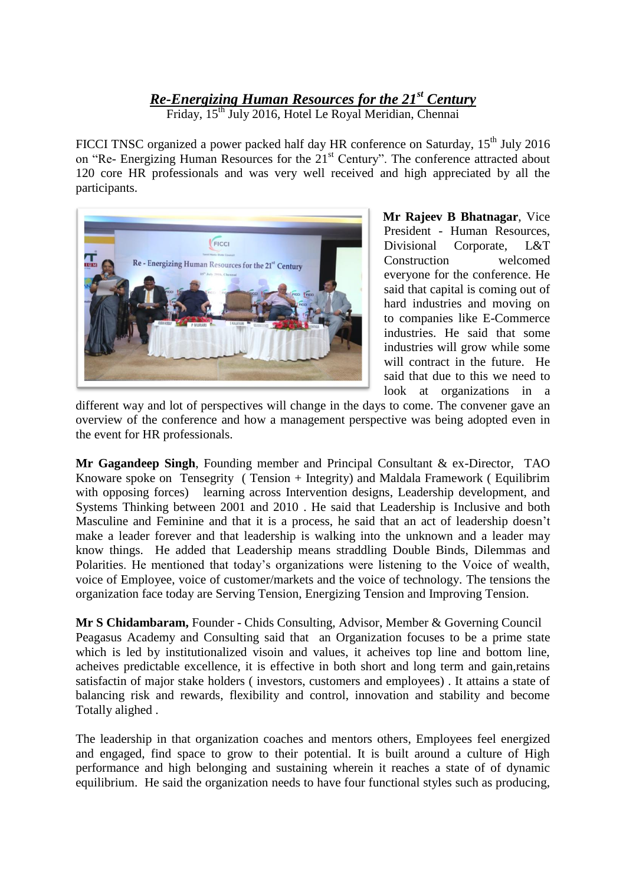## *Re-Energizing Human Resources for the 21st Century*

Friday, 15<sup>th</sup> July 2016, Hotel Le Royal Meridian, Chennai

FICCI TNSC organized a power packed half day HR conference on Saturday, 15<sup>th</sup> July 2016 on "Re- Energizing Human Resources for the 21<sup>st</sup> Century". The conference attracted about 120 core HR professionals and was very well received and high appreciated by all the participants.



**Mr Rajeev B Bhatnagar**, Vice President - Human Resources, Divisional Corporate, L&T Construction welcomed everyone for the conference. He said that capital is coming out of hard industries and moving on to companies like E-Commerce industries. He said that some industries will grow while some will contract in the future. He said that due to this we need to look at organizations in a

different way and lot of perspectives will change in the days to come. The convener gave an overview of the conference and how a management perspective was being adopted even in the event for HR professionals.

**Mr Gagandeep Singh**, Founding member and Principal Consultant & ex-Director, TAO Knoware spoke on Tensegrity ( Tension + Integrity) and Maldala Framework ( Equilibrim with opposing forces) learning across Intervention designs, Leadership development, and Systems Thinking between 2001 and 2010 . He said that Leadership is Inclusive and both Masculine and Feminine and that it is a process, he said that an act of leadership doesn't make a leader forever and that leadership is walking into the unknown and a leader may know things. He added that Leadership means straddling Double Binds, Dilemmas and Polarities. He mentioned that today's organizations were listening to the Voice of wealth, voice of Employee, voice of customer/markets and the voice of technology. The tensions the organization face today are Serving Tension, Energizing Tension and Improving Tension.

**Mr S Chidambaram,** Founder - Chids Consulting, Advisor, Member & Governing Council Peagasus Academy and Consulting said that an Organization focuses to be a prime state which is led by institutionalized visoin and values, it acheives top line and bottom line, acheives predictable excellence, it is effective in both short and long term and gain,retains satisfactin of major stake holders ( investors, customers and employees) . It attains a state of balancing risk and rewards, flexibility and control, innovation and stability and become Totally alighed .

The leadership in that organization coaches and mentors others, Employees feel energized and engaged, find space to grow to their potential. It is built around a culture of High performance and high belonging and sustaining wherein it reaches a state of of dynamic equilibrium. He said the organization needs to have four functional styles such as producing,